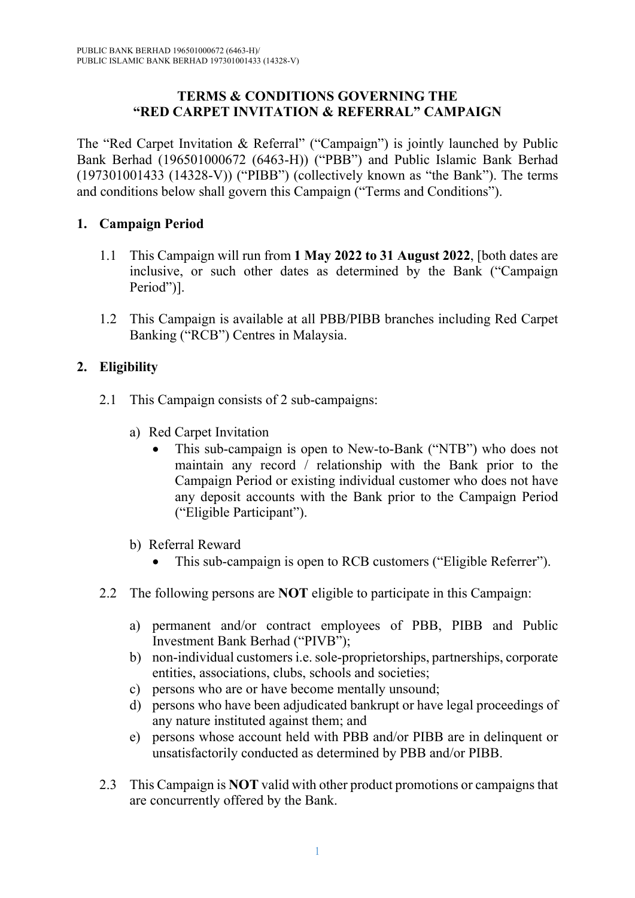#### **TERMS & CONDITIONS GOVERNING THE "RED CARPET INVITATION & REFERRAL" CAMPAIGN**

The "Red Carpet Invitation & Referral" ("Campaign") is jointly launched by Public Bank Berhad (196501000672 (6463-H)) ("PBB") and Public Islamic Bank Berhad (197301001433 (14328-V)) ("PIBB") (collectively known as "the Bank"). The terms and conditions below shall govern this Campaign ("Terms and Conditions").

### **1. Campaign Period**

- 1.1 This Campaign will run from **1 May 2022 to 31 August 2022**, [both dates are inclusive, or such other dates as determined by the Bank ("Campaign Period")].
- 1.2 This Campaign is available at all PBB/PIBB branches including Red Carpet Banking ("RCB") Centres in Malaysia.

# **2. Eligibility**

- 2.1 This Campaign consists of 2 sub-campaigns:
	- a) Red Carpet Invitation
		- This sub-campaign is open to New-to-Bank ("NTB") who does not maintain any record / relationship with the Bank prior to the Campaign Period or existing individual customer who does not have any deposit accounts with the Bank prior to the Campaign Period ("Eligible Participant").
	- b) Referral Reward
		- This sub-campaign is open to RCB customers ("Eligible Referrer").
- 2.2 The following persons are **NOT** eligible to participate in this Campaign:
	- a) permanent and/or contract employees of PBB, PIBB and Public Investment Bank Berhad ("PIVB");
	- b) non-individual customers i.e. sole-proprietorships, partnerships, corporate entities, associations, clubs, schools and societies;
	- c) persons who are or have become mentally unsound;
	- d) persons who have been adjudicated bankrupt or have legal proceedings of any nature instituted against them; and
	- e) persons whose account held with PBB and/or PIBB are in delinquent or unsatisfactorily conducted as determined by PBB and/or PIBB.
- 2.3 This Campaign is **NOT** valid with other product promotions or campaigns that are concurrently offered by the Bank.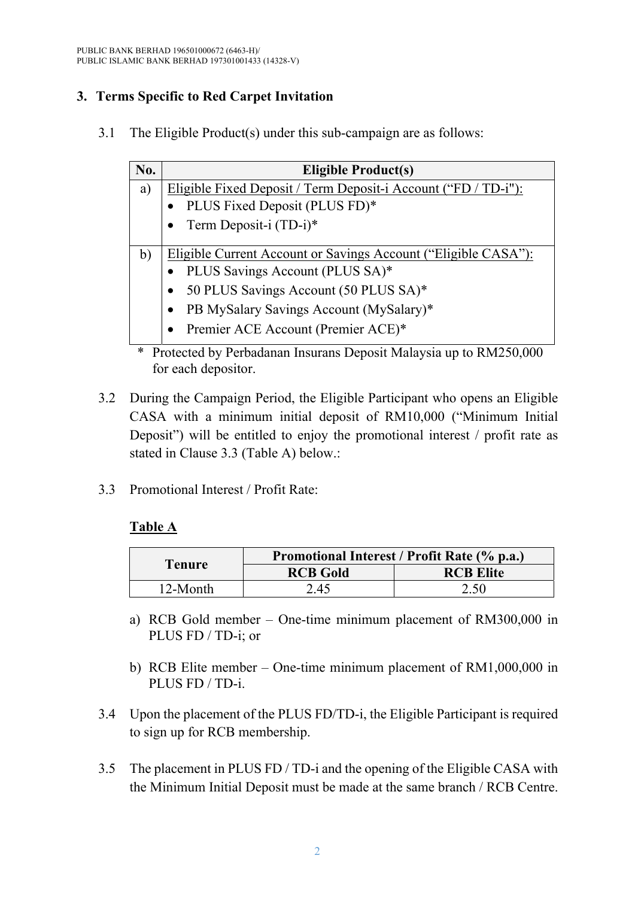# **3. Terms Specific to Red Carpet Invitation**

3.1 The Eligible Product(s) under this sub-campaign are as follows:

| No. | <b>Eligible Product(s)</b>                                                    |  |  |
|-----|-------------------------------------------------------------------------------|--|--|
| a)  | Eligible Fixed Deposit / Term Deposit-i Account ("FD / TD-i"):                |  |  |
|     | PLUS Fixed Deposit (PLUS FD)*                                                 |  |  |
|     | Term Deposit-i (TD-i)*                                                        |  |  |
| b)  | Eligible Current Account or Savings Account ("Eligible CASA"):                |  |  |
|     | PLUS Savings Account (PLUS SA)*                                               |  |  |
|     | 50 PLUS Savings Account (50 PLUS SA)*                                         |  |  |
|     | PB MySalary Savings Account (MySalary)*                                       |  |  |
|     | Premier ACE Account (Premier ACE)*                                            |  |  |
|     | <u>Destacted by Derhadanan Insurans Deposit Malaysia un to DM250.000</u><br>∗ |  |  |

- Protected by Perbadanan Insurans Deposit Malaysia up to RM250,000 for each depositor.
- 3.2 During the Campaign Period, the Eligible Participant who opens an Eligible CASA with a minimum initial deposit of RM10,000 ("Minimum Initial Deposit") will be entitled to enjoy the promotional interest / profit rate as stated in Clause 3.3 (Table A) below.:
- 3.3 Promotional Interest / Profit Rate:

# **Table A**

|               | Promotional Interest / Profit Rate (% p.a.) |                  |  |
|---------------|---------------------------------------------|------------------|--|
| <b>Tenure</b> | <b>RCB Gold</b>                             | <b>RCB Elite</b> |  |
| $12$ -Month   | 2.45                                        | 2.50             |  |

- a) RCB Gold member One-time minimum placement of RM300,000 in PLUS FD / TD-i; or
- b) RCB Elite member One-time minimum placement of RM1,000,000 in PLUS FD / TD-i.
- 3.4 Upon the placement of the PLUS FD/TD-i, the Eligible Participant is required to sign up for RCB membership.
- 3.5 The placement in PLUS FD / TD-i and the opening of the Eligible CASA with the Minimum Initial Deposit must be made at the same branch / RCB Centre.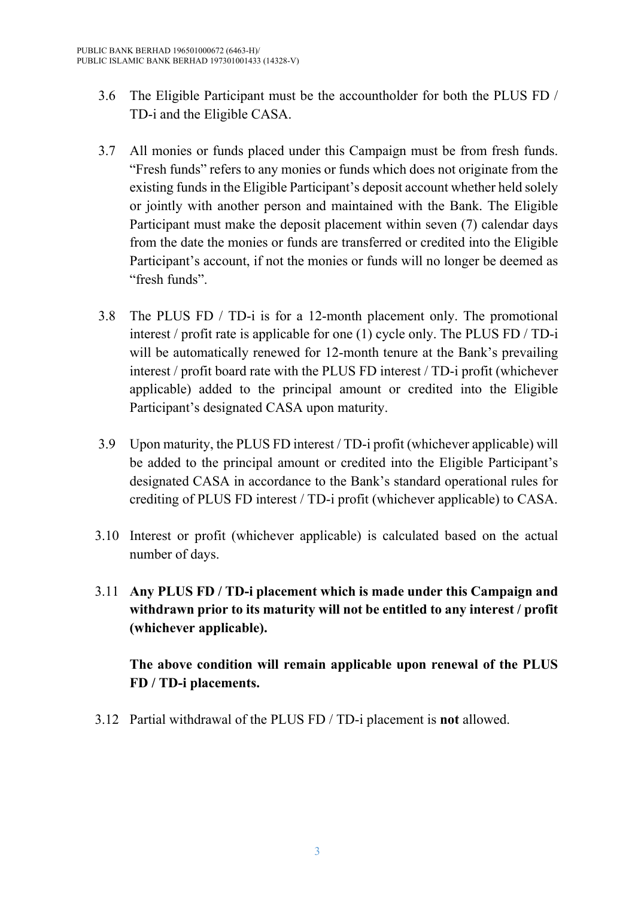- 3.6 The Eligible Participant must be the accountholder for both the PLUS FD / TD-i and the Eligible CASA.
- 3.7 All monies or funds placed under this Campaign must be from fresh funds. "Fresh funds" refers to any monies or funds which does not originate from the existing funds in the Eligible Participant's deposit account whether held solely or jointly with another person and maintained with the Bank. The Eligible Participant must make the deposit placement within seven (7) calendar days from the date the monies or funds are transferred or credited into the Eligible Participant's account, if not the monies or funds will no longer be deemed as "fresh funds".
- 3.8 The PLUS FD / TD-i is for a 12-month placement only. The promotional interest / profit rate is applicable for one (1) cycle only. The PLUS FD / TD-i will be automatically renewed for 12-month tenure at the Bank's prevailing interest / profit board rate with the PLUS FD interest / TD-i profit (whichever applicable) added to the principal amount or credited into the Eligible Participant's designated CASA upon maturity.
- 3.9 Upon maturity, the PLUS FD interest / TD-i profit (whichever applicable) will be added to the principal amount or credited into the Eligible Participant's designated CASA in accordance to the Bank's standard operational rules for crediting of PLUS FD interest / TD-i profit (whichever applicable) to CASA.
- 3.10 Interest or profit (whichever applicable) is calculated based on the actual number of days.
- 3.11 **Any PLUS FD / TD-i placement which is made under this Campaign and withdrawn prior to its maturity will not be entitled to any interest / profit (whichever applicable).**

**The above condition will remain applicable upon renewal of the PLUS FD / TD-i placements.** 

3.12 Partial withdrawal of the PLUS FD / TD-i placement is **not** allowed.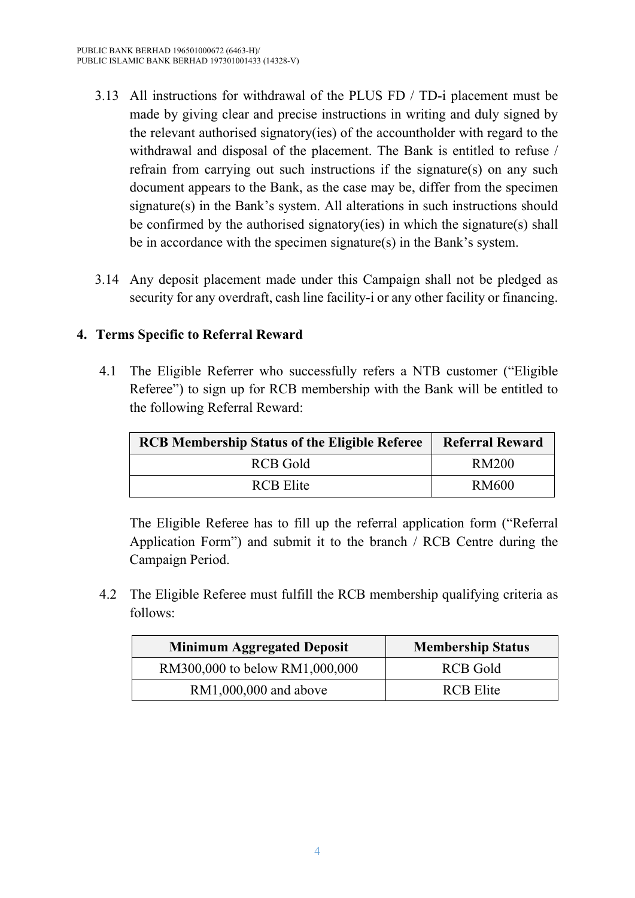- 3.13 All instructions for withdrawal of the PLUS FD / TD-i placement must be made by giving clear and precise instructions in writing and duly signed by the relevant authorised signatory(ies) of the accountholder with regard to the withdrawal and disposal of the placement. The Bank is entitled to refuse / refrain from carrying out such instructions if the signature(s) on any such document appears to the Bank, as the case may be, differ from the specimen signature(s) in the Bank's system. All alterations in such instructions should be confirmed by the authorised signatory(ies) in which the signature(s) shall be in accordance with the specimen signature(s) in the Bank's system.
- 3.14 Any deposit placement made under this Campaign shall not be pledged as security for any overdraft, cash line facility-i or any other facility or financing.

### **4. Terms Specific to Referral Reward**

4.1 The Eligible Referrer who successfully refers a NTB customer ("Eligible Referee") to sign up for RCB membership with the Bank will be entitled to the following Referral Reward:

| <b>RCB Membership Status of the Eligible Referee</b> | <b>Referral Reward</b> |
|------------------------------------------------------|------------------------|
| RCB Gold                                             | RM200                  |
| <b>RCB</b> Elite                                     | RM600                  |

The Eligible Referee has to fill up the referral application form ("Referral Application Form") and submit it to the branch / RCB Centre during the Campaign Period.

4.2 The Eligible Referee must fulfill the RCB membership qualifying criteria as follows:

| <b>Minimum Aggregated Deposit</b> | <b>Membership Status</b> |
|-----------------------------------|--------------------------|
| RM300,000 to below RM1,000,000    | RCB Gold                 |
| $RM1,000,000$ and above           | <b>RCB</b> Elite         |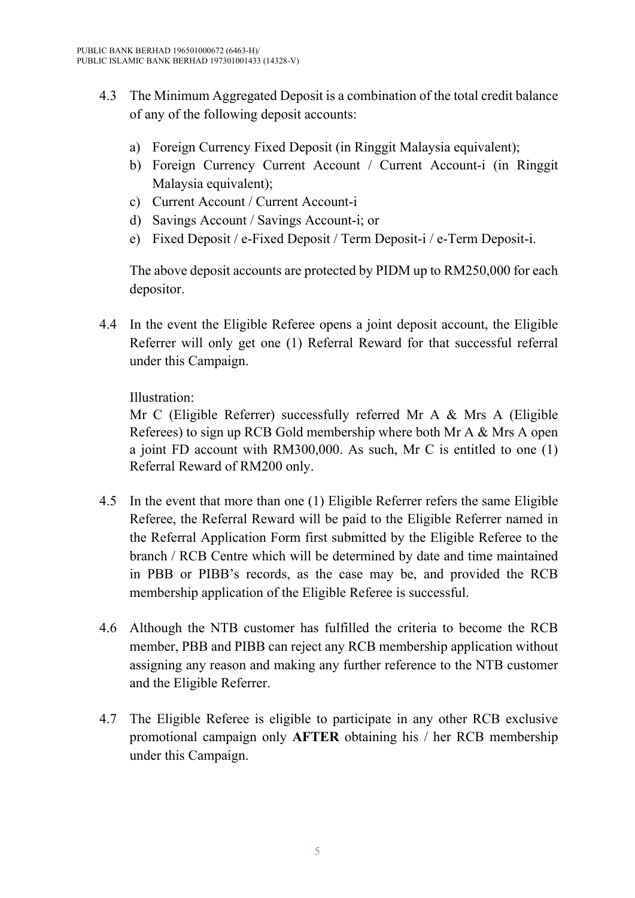- 4.3 The Minimum Aggregated Deposit is a combination of the total credit balance of any of the following deposit accounts:
	- a) Foreign Currency Fixed Deposit (in Ringgit Malaysia equivalent);
	- b) Foreign Currency Current Account / Current Account-i (in Ringgit Malaysia equivalent);
	- c) Current Account / Current Account-i
	- d) Savings Account / Savings Account-i; or
	- e) Fixed Deposit / e-Fixed Deposit / Term Deposit-i / e-Term Deposit-i.

The above deposit accounts are protected by PIDM up to RM250,000 for each depositor.

4.4 In the event the Eligible Referee opens a joint deposit account, the Eligible Referrer will only get one (1) Referral Reward for that successful referral under this Campaign.

Illustration:

Mr C (Eligible Referrer) successfully referred Mr A & Mrs A (Eligible Referees) to sign up RCB Gold membership where both Mr A & Mrs A open a joint FD account with RM300,000. As such, Mr C is entitled to one (1) Referral Reward of RM200 only.

- 4.5 In the event that more than one (1) Eligible Referrer refers the same Eligible Referee, the Referral Reward will be paid to the Eligible Referrer named in the Referral Application Form first submitted by the Eligible Referee to the branch / RCB Centre which will be determined by date and time maintained in PBB or PIBB's records, as the case may be, and provided the RCB membership application of the Eligible Referee is successful.
- 4.6 Although the NTB customer has fulfilled the criteria to become the RCB member, PBB and PIBB can reject any RCB membership application without assigning any reason and making any further reference to the NTB customer and the Eligible Referrer.
- 4.7 The Eligible Referee is eligible to participate in any other RCB exclusive promotional campaign only **AFTER** obtaining his / her RCB membership under this Campaign.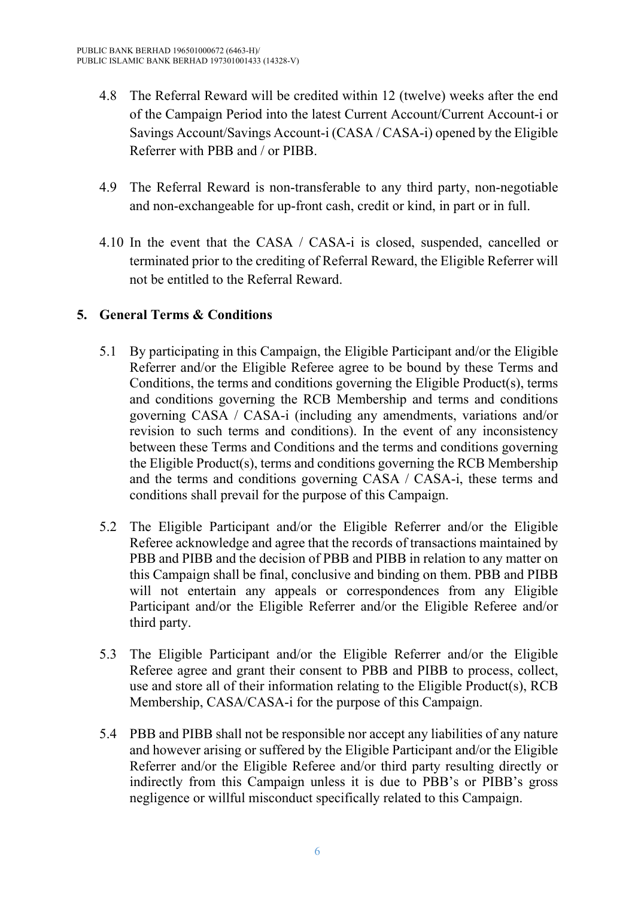- 4.8 The Referral Reward will be credited within 12 (twelve) weeks after the end of the Campaign Period into the latest Current Account/Current Account-i or Savings Account/Savings Account-i (CASA / CASA-i) opened by the Eligible Referrer with PBB and / or PIBB.
- 4.9 The Referral Reward is non-transferable to any third party, non-negotiable and non-exchangeable for up-front cash, credit or kind, in part or in full.
- 4.10 In the event that the CASA / CASA-i is closed, suspended, cancelled or terminated prior to the crediting of Referral Reward, the Eligible Referrer will not be entitled to the Referral Reward.

# **5. General Terms & Conditions**

- 5.1 By participating in this Campaign, the Eligible Participant and/or the Eligible Referrer and/or the Eligible Referee agree to be bound by these Terms and Conditions, the terms and conditions governing the Eligible Product(s), terms and conditions governing the RCB Membership and terms and conditions governing CASA / CASA-i (including any amendments, variations and/or revision to such terms and conditions). In the event of any inconsistency between these Terms and Conditions and the terms and conditions governing the Eligible Product(s), terms and conditions governing the RCB Membership and the terms and conditions governing CASA / CASA-i, these terms and conditions shall prevail for the purpose of this Campaign.
- 5.2 The Eligible Participant and/or the Eligible Referrer and/or the Eligible Referee acknowledge and agree that the records of transactions maintained by PBB and PIBB and the decision of PBB and PIBB in relation to any matter on this Campaign shall be final, conclusive and binding on them. PBB and PIBB will not entertain any appeals or correspondences from any Eligible Participant and/or the Eligible Referrer and/or the Eligible Referee and/or third party.
- 5.3 The Eligible Participant and/or the Eligible Referrer and/or the Eligible Referee agree and grant their consent to PBB and PIBB to process, collect, use and store all of their information relating to the Eligible Product(s), RCB Membership, CASA/CASA-i for the purpose of this Campaign.
- 5.4 PBB and PIBB shall not be responsible nor accept any liabilities of any nature and however arising or suffered by the Eligible Participant and/or the Eligible Referrer and/or the Eligible Referee and/or third party resulting directly or indirectly from this Campaign unless it is due to PBB's or PIBB's gross negligence or willful misconduct specifically related to this Campaign.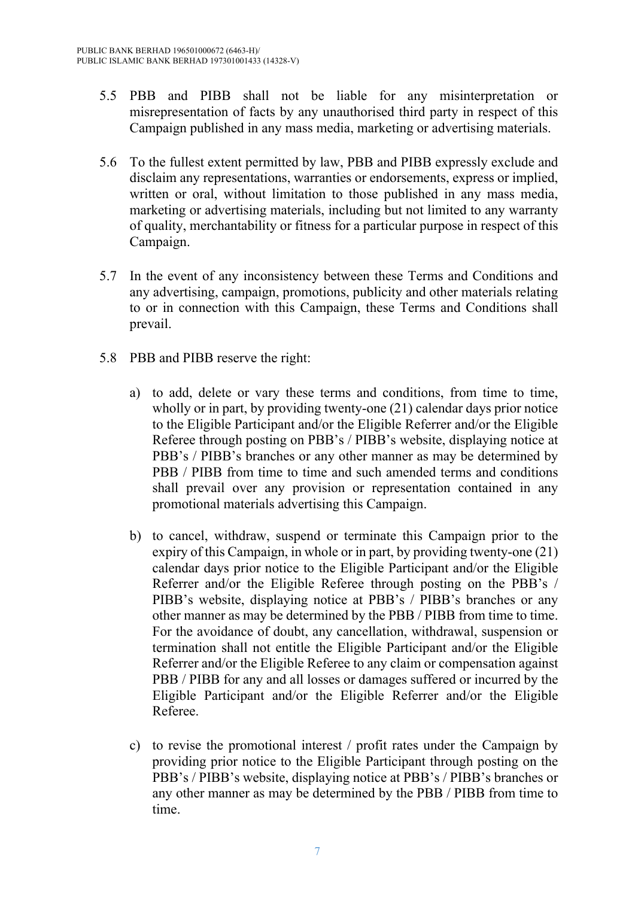- 5.5 PBB and PIBB shall not be liable for any misinterpretation or misrepresentation of facts by any unauthorised third party in respect of this Campaign published in any mass media, marketing or advertising materials.
- 5.6 To the fullest extent permitted by law, PBB and PIBB expressly exclude and disclaim any representations, warranties or endorsements, express or implied, written or oral, without limitation to those published in any mass media, marketing or advertising materials, including but not limited to any warranty of quality, merchantability or fitness for a particular purpose in respect of this Campaign.
- 5.7 In the event of any inconsistency between these Terms and Conditions and any advertising, campaign, promotions, publicity and other materials relating to or in connection with this Campaign, these Terms and Conditions shall prevail.
- 5.8 PBB and PIBB reserve the right:
	- a) to add, delete or vary these terms and conditions, from time to time, wholly or in part, by providing twenty-one (21) calendar days prior notice to the Eligible Participant and/or the Eligible Referrer and/or the Eligible Referee through posting on PBB's / PIBB's website, displaying notice at PBB's / PIBB's branches or any other manner as may be determined by PBB / PIBB from time to time and such amended terms and conditions shall prevail over any provision or representation contained in any promotional materials advertising this Campaign.
	- b) to cancel, withdraw, suspend or terminate this Campaign prior to the expiry of this Campaign, in whole or in part, by providing twenty-one (21) calendar days prior notice to the Eligible Participant and/or the Eligible Referrer and/or the Eligible Referee through posting on the PBB's / PIBB's website, displaying notice at PBB's / PIBB's branches or any other manner as may be determined by the PBB / PIBB from time to time. For the avoidance of doubt, any cancellation, withdrawal, suspension or termination shall not entitle the Eligible Participant and/or the Eligible Referrer and/or the Eligible Referee to any claim or compensation against PBB / PIBB for any and all losses or damages suffered or incurred by the Eligible Participant and/or the Eligible Referrer and/or the Eligible Referee.
	- c) to revise the promotional interest / profit rates under the Campaign by providing prior notice to the Eligible Participant through posting on the PBB's / PIBB's website, displaying notice at PBB's / PIBB's branches or any other manner as may be determined by the PBB / PIBB from time to time.